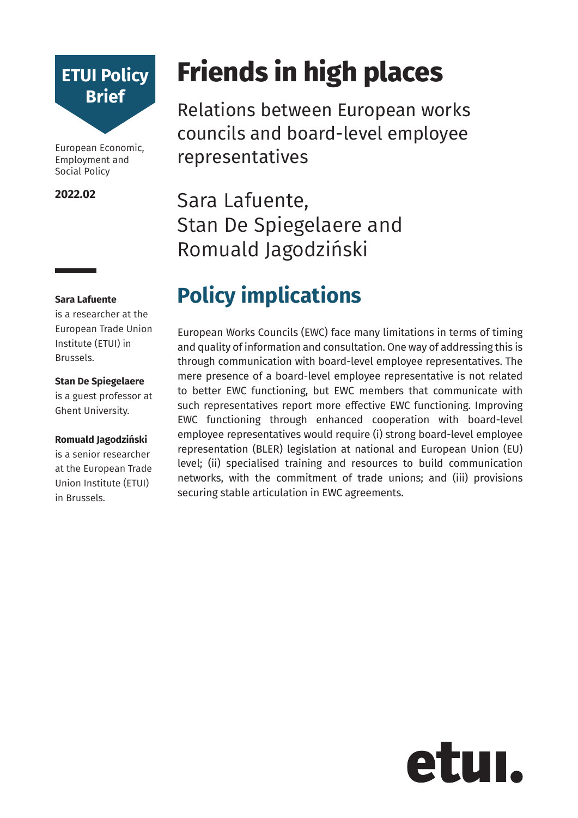

European Economic, Employment and Social Policy

#### **2022.02**

#### **Sara Lafuente**

is a researcher at the European Trade Union Institute (ETUI) in Brussels.

#### **Stan De Spiegelaere**

is a guest professor at Ghent University.

#### **Romuald Jagodziński**

is a senior researcher at the European Trade Union Institute (ETUI) in Brussels.

# **Friends in high places**

Relations between European works councils and board-level employee representatives

Sara Lafuente, Stan De Spiegelaere and Romuald Jagodziński

## **Policy implications**

European Works Councils (EWC) face many limitations in terms of timing and quality of information and consultation. One way of addressing this is through communication with board-level employee representatives. The mere presence of a board-level employee representative is not related to better EWC functioning, but EWC members that communicate with such representatives report more effective EWC functioning. Improving EWC functioning through enhanced cooperation with board-level employee representatives would require (i) strong board-level employee representation (BLER) legislation at national and European Union (EU) level; (ii) specialised training and resources to build communication networks, with the commitment of trade unions; and (iii) provisions securing stable articulation in EWC agreements.

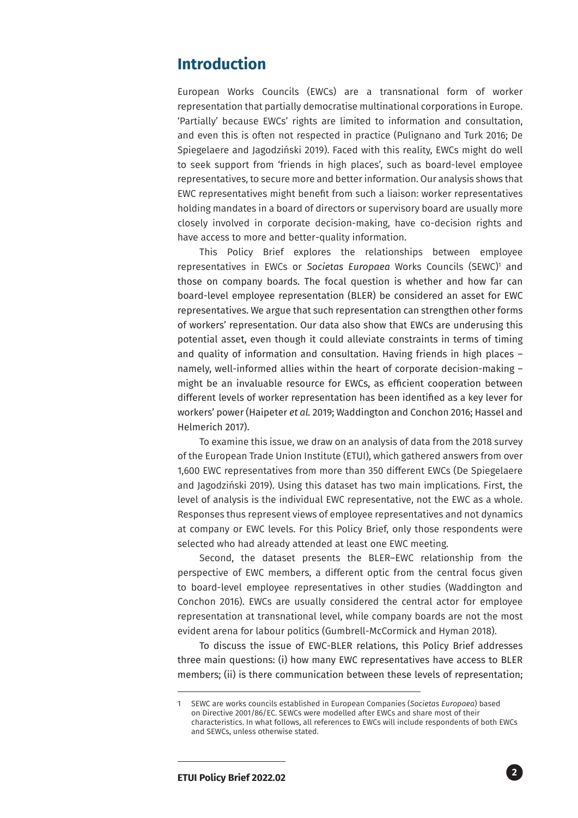## **Introduction**

European Works Councils (EWCs) are a transnational form of worker representation that partially democratise multinational corporations in Europe. 'Partially' because EWCs' rights are limited to information and consultation, and even this is often not respected in practice (Pulignano and Turk 2016; De Spiegelaere and Jagodziński 2019). Faced with this reality, EWCs might do well to seek support from 'friends in high places', such as board-level employee representatives, to secure more and better information. Our analysis shows that EWC representatives might benefit from such a liaison: worker representatives holding mandates in a board of directors or supervisory board are usually more closely involved in corporate decision-making, have co-decision rights and have access to more and better-quality information.

This Policy Brief explores the relationships between employee representatives in EWCs or Societas Europaea Works Councils (SEWC)<sup>1</sup> and those on company boards. The focal question is whether and how far can board-level employee representation (BLER) be considered an asset for EWC representatives. We argue that such representation can strengthen other forms of workers' representation. Our data also show that EWCs are underusing this potential asset, even though it could alleviate constraints in terms of timing and quality of information and consultation. Having friends in high places – namely, well-informed allies within the heart of corporate decision-making – might be an invaluable resource for EWCs, as efficient cooperation between different levels of worker representation has been identified as a key lever for workers' power (Haipeter *et al.* 2019; Waddington and Conchon 2016; Hassel and Helmerich 2017).

To examine this issue, we draw on an analysis of data from the 2018 survey of the European Trade Union Institute (ETUI), which gathered answers from over 1,600 EWC representatives from more than 350 different EWCs (De Spiegelaere and Jagodziński 2019). Using this dataset has two main implications. First, the level of analysis is the individual EWC representative, not the EWC as a whole. Responses thus represent views of employee representatives and not dynamics at company or EWC levels. For this Policy Brief, only those respondents were selected who had already attended at least one EWC meeting.

Second, the dataset presents the BLER–EWC relationship from the perspective of EWC members, a different optic from the central focus given to board-level employee representatives in other studies (Waddington and Conchon 2016). EWCs are usually considered the central actor for employee representation at transnational level, while company boards are not the most evident arena for labour politics (Gumbrell-McCormick and Hyman 2018).

To discuss the issue of EWC-BLER relations, this Policy Brief addresses three main questions: (i) how many EWC representatives have access to BLER members; (ii) is there communication between these levels of representation;

<sup>1</sup> SEWC are works councils established in European Companies (*Societas Europaea*) based on Directive 2001/86/EC. SEWCs were modelled after EWCs and share most of their characteristics. In what follows, all references to EWCs will include respondents of both EWCs and SEWCs, unless otherwise stated.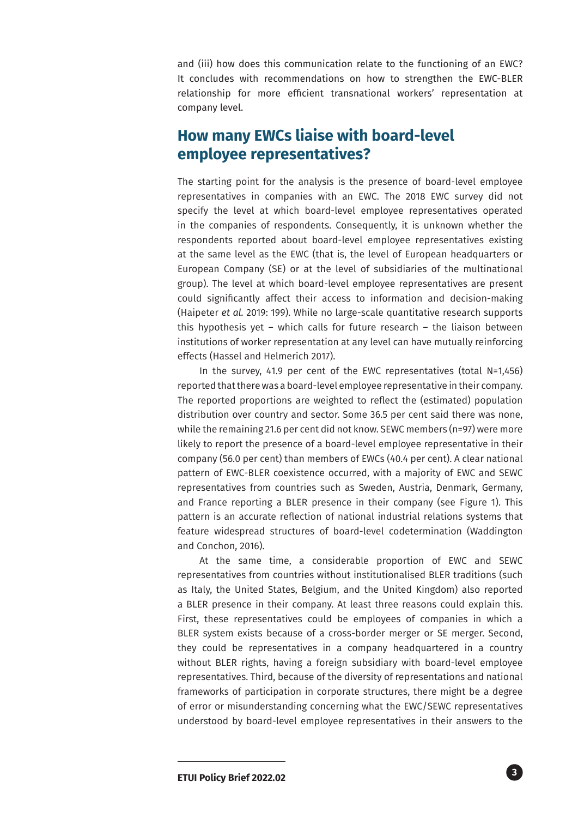and (iii) how does this communication relate to the functioning of an EWC? It concludes with recommendations on how to strengthen the EWC-BLER relationship for more efficient transnational workers' representation at company level.

## **How many EWCs liaise with board-level employee representatives?**

The starting point for the analysis is the presence of board-level employee representatives in companies with an EWC. The 2018 EWC survey did not specify the level at which board-level employee representatives operated in the companies of respondents. Consequently, it is unknown whether the respondents reported about board-level employee representatives existing at the same level as the EWC (that is, the level of European headquarters or European Company (SE) or at the level of subsidiaries of the multinational group). The level at which board-level employee representatives are present could significantly affect their access to information and decision-making (Haipeter *et al.* 2019: 199). While no large-scale quantitative research supports this hypothesis yet – which calls for future research – the liaison between institutions of worker representation at any level can have mutually reinforcing effects (Hassel and Helmerich 2017).

In the survey, 41.9 per cent of the EWC representatives (total N=1,456) reported that there was a board-level employee representative in their company. The reported proportions are weighted to reflect the (estimated) population distribution over country and sector. Some 36.5 per cent said there was none, while the remaining 21.6 per cent did not know. SEWC members (n=97) were more likely to report the presence of a board-level employee representative in their company (56.0 per cent) than members of EWCs (40.4 per cent). A clear national pattern of EWC-BLER coexistence occurred, with a majority of EWC and SEWC representatives from countries such as Sweden, Austria, Denmark, Germany, and France reporting a BLER presence in their company (see Figure 1). This pattern is an accurate reflection of national industrial relations systems that feature widespread structures of board-level codetermination (Waddington and Conchon, 2016).

At the same time, a considerable proportion of EWC and SEWC representatives from countries without institutionalised BLER traditions (such as Italy, the United States, Belgium, and the United Kingdom) also reported a BLER presence in their company. At least three reasons could explain this. First, these representatives could be employees of companies in which a BLER system exists because of a cross-border merger or SE merger. Second, they could be representatives in a company headquartered in a country without BLER rights, having a foreign subsidiary with board-level employee representatives. Third, because of the diversity of representations and national frameworks of participation in corporate structures, there might be a degree of error or misunderstanding concerning what the EWC/SEWC representatives understood by board-level employee representatives in their answers to the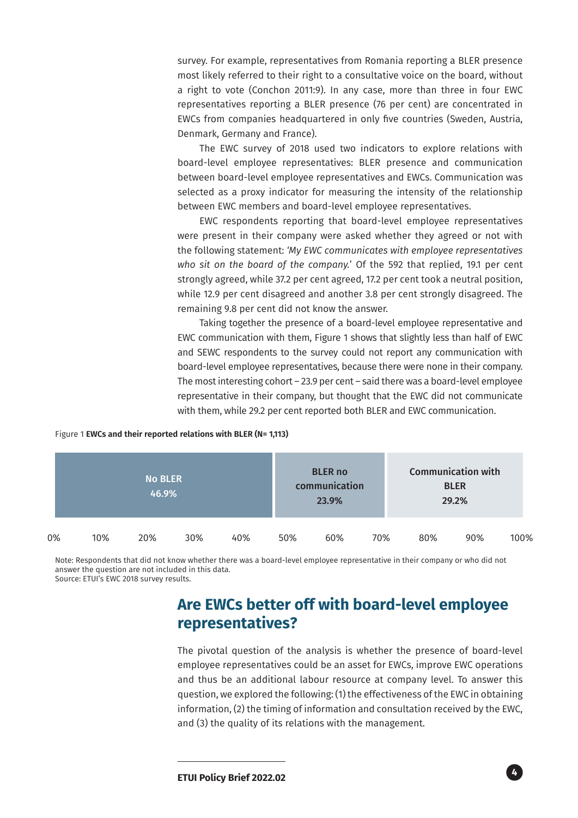survey. For example, representatives from Romania reporting a BLER presence most likely referred to their right to a consultative voice on the board, without a right to vote (Conchon 2011:9). In any case, more than three in four EWC representatives reporting a BLER presence (76 per cent) are concentrated in EWCs from companies headquartered in only five countries (Sweden, Austria, Denmark, Germany and France).

The EWC survey of 2018 used two indicators to explore relations with board-level employee representatives: BLER presence and communication between board-level employee representatives and EWCs. Communication was selected as a proxy indicator for measuring the intensity of the relationship between EWC members and board-level employee representatives.

EWC respondents reporting that board-level employee representatives were present in their company were asked whether they agreed or not with the following statement: *'My EWC communicates with employee representatives who sit on the board of the company.*' Of the 592 that replied, 19.1 per cent strongly agreed, while 37.2 per cent agreed, 17.2 per cent took a neutral position, while 12.9 per cent disagreed and another 3.8 per cent strongly disagreed. The remaining 9.8 per cent did not know the answer.

Taking together the presence of a board-level employee representative and EWC communication with them, Figure 1 shows that slightly less than half of EWC and SEWC respondents to the survey could not report any communication with board-level employee representatives, because there were none in their company. The most interesting cohort – 23.9 per cent – said there was a board-level employee representative in their company, but thought that the EWC did not communicate with them, while 29.2 per cent reported both BLER and EWC communication.

#### Figure 1 **EWCs and their reported relations with BLER (N= 1,113)**

|    | <b>No BLER</b><br>46.9% |     |     |     |     | <b>BLER no</b><br>communication<br>23.9% |     | <b>Communication with</b><br><b>BLER</b><br>29.2% |     |      |
|----|-------------------------|-----|-----|-----|-----|------------------------------------------|-----|---------------------------------------------------|-----|------|
| 0% | 10%                     | 20% | 30% | 40% | 50% | 60%                                      | 70% | 80%                                               | 90% | 100% |

Note: Respondents that did not know whether there was a board-level employee representative in their company or who did not answer the question are not included in this data. Source: ETUI's EWC 2018 survey results.

## **Are EWCs better off with board-level employee representatives?**

The pivotal question of the analysis is whether the presence of board-level employee representatives could be an asset for EWCs, improve EWC operations and thus be an additional labour resource at company level. To answer this question, we explored the following: (1) the effectiveness of the EWC in obtaining information, (2) the timing of information and consultation received by the EWC, and (3) the quality of its relations with the management.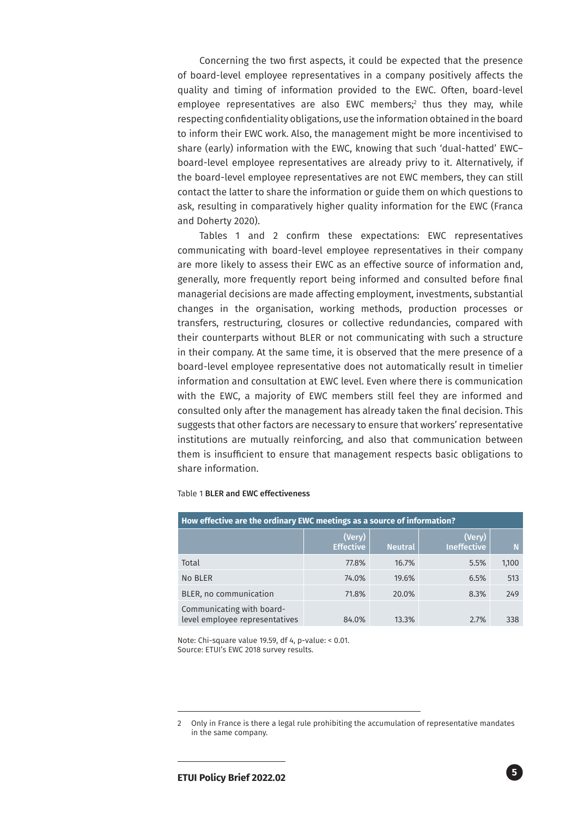Concerning the two first aspects, it could be expected that the presence of board-level employee representatives in a company positively affects the quality and timing of information provided to the EWC. Often, board-level employee representatives are also EWC members;2 thus they may, while respecting confidentiality obligations, use the information obtained in the board to inform their EWC work. Also, the management might be more incentivised to share (early) information with the EWC, knowing that such 'dual-hatted' EWC– board-level employee representatives are already privy to it. Alternatively, if the board-level employee representatives are not EWC members, they can still contact the latter to share the information or guide them on which questions to ask, resulting in comparatively higher quality information for the EWC (Franca and Doherty 2020).

Tables 1 and 2 confirm these expectations: EWC representatives communicating with board-level employee representatives in their company are more likely to assess their EWC as an effective source of information and, generally, more frequently report being informed and consulted before final managerial decisions are made affecting employment, investments, substantial changes in the organisation, working methods, production processes or transfers, restructuring, closures or collective redundancies, compared with their counterparts without BLER or not communicating with such a structure in their company. At the same time, it is observed that the mere presence of a board-level employee representative does not automatically result in timelier information and consultation at EWC level. Even where there is communication with the EWC, a majority of EWC members still feel they are informed and consulted only after the management has already taken the final decision. This suggests that other factors are necessary to ensure that workers' representative institutions are mutually reinforcing, and also that communication between them is insufficient to ensure that management respects basic obligations to share information.

#### Table 1 BLER and EWC effectiveness

| How effective are the ordinary EWC meetings as a source of information? |                            |                |                              |       |  |  |  |
|-------------------------------------------------------------------------|----------------------------|----------------|------------------------------|-------|--|--|--|
|                                                                         | (Very)<br><b>Effective</b> | <b>Neutral</b> | (Very)<br><b>Ineffective</b> | N     |  |  |  |
| Total                                                                   | 77.8%                      | 16.7%          | 5.5%                         | 1,100 |  |  |  |
| No BLER                                                                 | 74.0%                      | 19.6%          | 6.5%                         | 513   |  |  |  |
| BLER, no communication                                                  | 71.8%                      | 20.0%          | 8.3%                         | 249   |  |  |  |
| Communicating with board-<br>level employee representatives             | 84.0%                      | 13.3%          | 2.7%                         | 338   |  |  |  |

Note: Chi-square value 19.59, df 4, p-value: < 0.01. Source: ETUI's EWC 2018 survey results.

<sup>2</sup> Only in France is there a legal rule prohibiting the accumulation of representative mandates in the same company.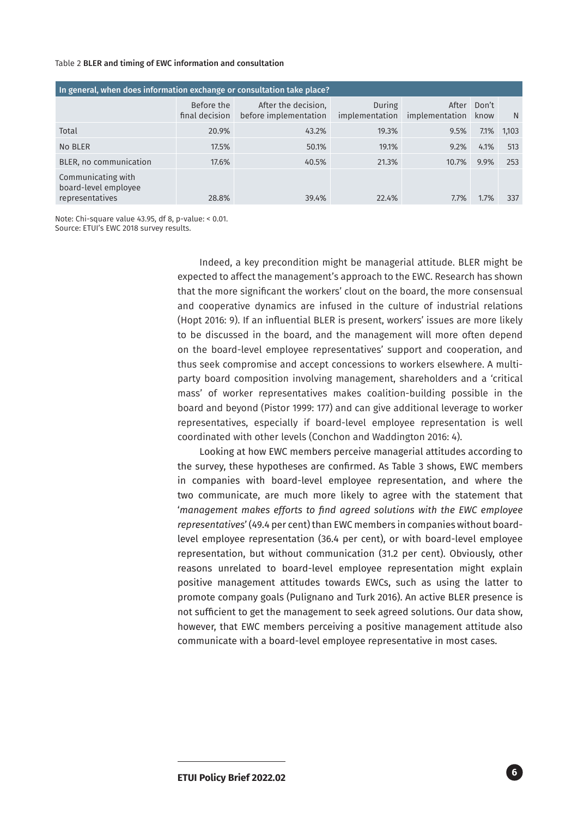#### Table 2 BLER and timing of EWC information and consultation

| In general, when does information exchange or consultation take place? |                              |                                              |        |                                        |               |       |  |  |
|------------------------------------------------------------------------|------------------------------|----------------------------------------------|--------|----------------------------------------|---------------|-------|--|--|
|                                                                        | Before the<br>final decision | After the decision,<br>before implementation | During | After<br>implementation implementation | Don't<br>know | N     |  |  |
| Total                                                                  | 20.9%                        | 43.2%                                        | 19.3%  | 9.5%                                   | 7.1%          | 1,103 |  |  |
| No BLER                                                                | 17.5%                        | 50.1%                                        | 19.1%  | 9.2%                                   | 4.1%          | 513   |  |  |
| BLER, no communication                                                 | 17.6%                        | 40.5%                                        | 21.3%  | 10.7%                                  | 9.9%          | 253   |  |  |
| Communicating with<br>board-level employee<br>representatives          | 28.8%                        | 39.4%                                        | 22.4%  | 7.7%                                   | 1.7%          | 337   |  |  |

Note: Chi-square value 43.95, df 8, p-value: < 0.01. Source: ETUI's EWC 2018 survey results.

> Indeed, a key precondition might be managerial attitude. BLER might be expected to affect the management's approach to the EWC. Research has shown that the more significant the workers' clout on the board, the more consensual and cooperative dynamics are infused in the culture of industrial relations (Hopt 2016: 9). If an influential BLER is present, workers' issues are more likely to be discussed in the board, and the management will more often depend on the board-level employee representatives' support and cooperation, and thus seek compromise and accept concessions to workers elsewhere. A multiparty board composition involving management, shareholders and a 'critical mass' of worker representatives makes coalition-building possible in the board and beyond (Pistor 1999: 177) and can give additional leverage to worker representatives, especially if board-level employee representation is well coordinated with other levels (Conchon and Waddington 2016: 4).

> Looking at how EWC members perceive managerial attitudes according to the survey, these hypotheses are confirmed. As Table 3 shows, EWC members in companies with board-level employee representation, and where the two communicate, are much more likely to agree with the statement that '*management makes efforts to find agreed solutions with the EWC employee representatives*' (49.4 per cent) than EWC members in companies without boardlevel employee representation (36.4 per cent), or with board-level employee representation, but without communication (31.2 per cent). Obviously, other reasons unrelated to board-level employee representation might explain positive management attitudes towards EWCs, such as using the latter to promote company goals (Pulignano and Turk 2016). An active BLER presence is not sufficient to get the management to seek agreed solutions. Our data show, however, that EWC members perceiving a positive management attitude also communicate with a board-level employee representative in most cases.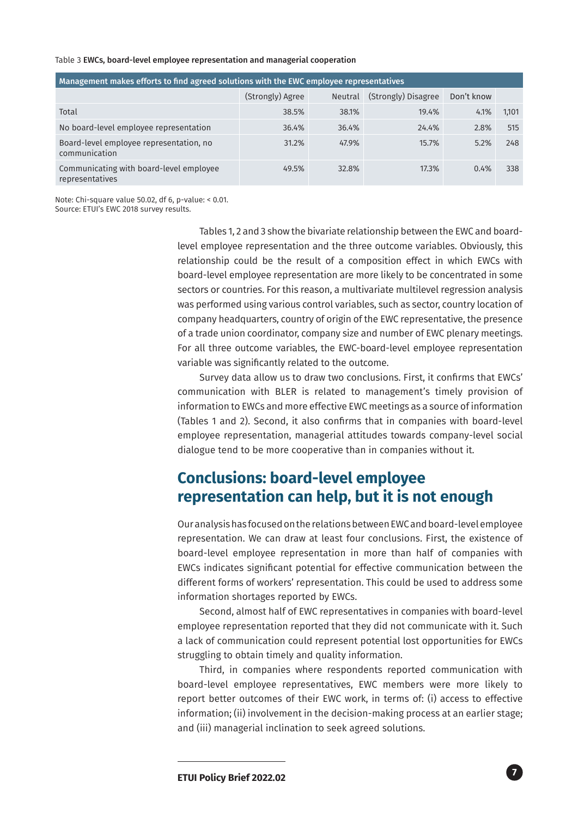#### Table 3 EWCs, board-level employee representation and managerial cooperation

| Management makes efforts to find agreed solutions with the EWC employee representatives |                  |                |                     |            |       |  |  |  |
|-----------------------------------------------------------------------------------------|------------------|----------------|---------------------|------------|-------|--|--|--|
|                                                                                         | (Strongly) Agree | <b>Neutral</b> | (Strongly) Disagree | Don't know |       |  |  |  |
| Total                                                                                   | 38.5%            | 38.1%          | 19.4%               | 4.1%       | 1,101 |  |  |  |
| No board-level employee representation                                                  | 36.4%            | 36.4%          | 24.4%               | 2.8%       | 515   |  |  |  |
| Board-level employee representation, no<br>communication                                | 31.2%            | 47.9%          | 15.7%               | 5.2%       | 248   |  |  |  |
| Communicating with board-level employee<br>representatives                              | 49.5%            | 32.8%          | 17.3%               | 0.4%       | 338   |  |  |  |

Note: Chi-square value 50.02, df 6, p-value: < 0.01.

Source: ETUI's EWC 2018 survey results.

Tables 1, 2 and 3 show the bivariate relationship between the EWC and boardlevel employee representation and the three outcome variables. Obviously, this relationship could be the result of a composition effect in which EWCs with board-level employee representation are more likely to be concentrated in some sectors or countries. For this reason, a multivariate multilevel regression analysis was performed using various control variables, such as sector, country location of company headquarters, country of origin of the EWC representative, the presence of a trade union coordinator, company size and number of EWC plenary meetings. For all three outcome variables, the EWC-board-level employee representation variable was significantly related to the outcome.

Survey data allow us to draw two conclusions. First, it confirms that EWCs' communication with BLER is related to management's timely provision of information to EWCs and more effective EWC meetings as a source of information (Tables 1 and 2). Second, it also confirms that in companies with board-level employee representation, managerial attitudes towards company-level social dialogue tend to be more cooperative than in companies without it.

## **Conclusions: board-level employee representation can help, but it is not enough**

Our analysis has focused on the relations between EWC and board-level employee representation. We can draw at least four conclusions. First, the existence of board-level employee representation in more than half of companies with EWCs indicates significant potential for effective communication between the different forms of workers' representation. This could be used to address some information shortages reported by EWCs.

Second, almost half of EWC representatives in companies with board-level employee representation reported that they did not communicate with it. Such a lack of communication could represent potential lost opportunities for EWCs struggling to obtain timely and quality information.

Third, in companies where respondents reported communication with board-level employee representatives, EWC members were more likely to report better outcomes of their EWC work, in terms of: (i) access to effective information; (ii) involvement in the decision-making process at an earlier stage; and (iii) managerial inclination to seek agreed solutions.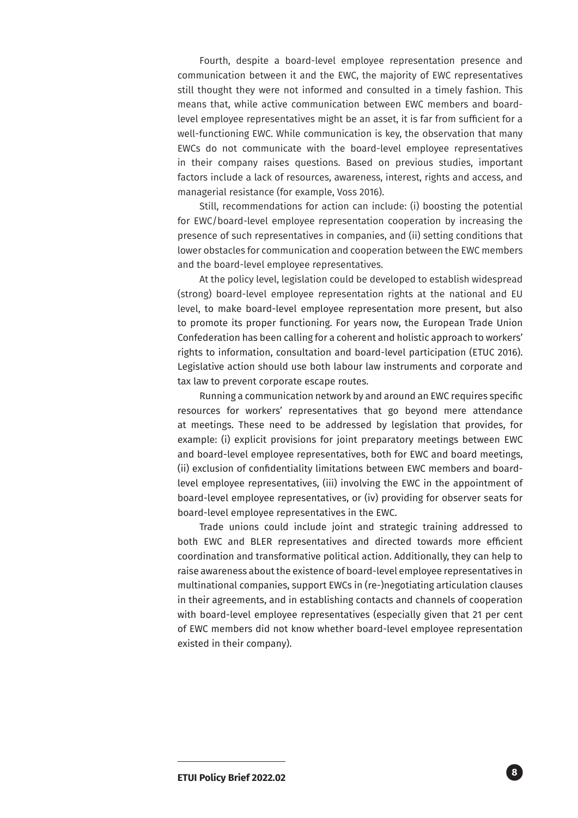Fourth, despite a board-level employee representation presence and communication between it and the EWC, the majority of EWC representatives still thought they were not informed and consulted in a timely fashion. This means that, while active communication between EWC members and boardlevel employee representatives might be an asset, it is far from sufficient for a well-functioning EWC. While communication is key, the observation that many EWCs do not communicate with the board-level employee representatives in their company raises questions. Based on previous studies, important factors include a lack of resources, awareness, interest, rights and access, and managerial resistance (for example, Voss 2016).

Still, recommendations for action can include: (i) boosting the potential for EWC/board-level employee representation cooperation by increasing the presence of such representatives in companies, and (ii) setting conditions that lower obstacles for communication and cooperation between the EWC members and the board-level employee representatives.

At the policy level, legislation could be developed to establish widespread (strong) board-level employee representation rights at the national and EU level, to make board-level employee representation more present, but also to promote its proper functioning. For years now, the European Trade Union Confederation has been calling for a coherent and holistic approach to workers' rights to information, consultation and board-level participation (ETUC 2016). Legislative action should use both labour law instruments and corporate and tax law to prevent corporate escape routes.

Running a communication network by and around an EWC requires specific resources for workers' representatives that go beyond mere attendance at meetings. These need to be addressed by legislation that provides, for example: (i) explicit provisions for joint preparatory meetings between EWC and board-level employee representatives, both for EWC and board meetings, (ii) exclusion of confidentiality limitations between EWC members and boardlevel employee representatives, (iii) involving the EWC in the appointment of board-level employee representatives, or (iv) providing for observer seats for board-level employee representatives in the EWC.

Trade unions could include joint and strategic training addressed to both EWC and BLER representatives and directed towards more efficient coordination and transformative political action. Additionally, they can help to raise awareness about the existence of board-level employee representatives in multinational companies, support EWCs in (re-)negotiating articulation clauses in their agreements, and in establishing contacts and channels of cooperation with board-level employee representatives (especially given that 21 per cent of EWC members did not know whether board-level employee representation existed in their company).